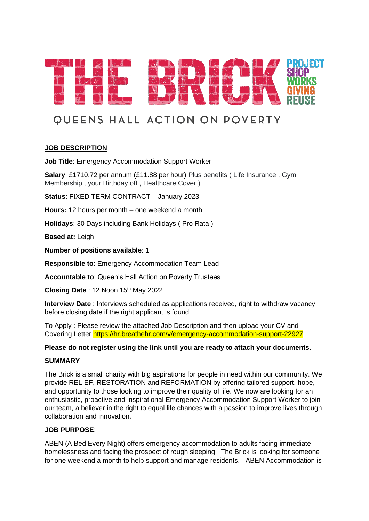

# **OUEENS HALL ACTION ON POVERTY**

## **JOB DESCRIPTION**

**Job Title: Emergency Accommodation Support Worker** 

**Salary**: £1710.72 per annum (£11.88 per hour) Plus benefits ( Life Insurance , Gym Membership , your Birthday off , Healthcare Cover )

**Status**: FIXED TERM CONTRACT – January 2023

**Hours:** 12 hours per month – one weekend a month

**Holidays**: 30 Days including Bank Holidays ( Pro Rata )

**Based at:** Leigh

**Number of positions available**: 1

**Responsible to**: Emergency Accommodation Team Lead

**Accountable to**: Queen's Hall Action on Poverty Trustees

**Closing Date** : 12 Noon 15<sup>th</sup> May 2022

**Interview Date** : Interviews scheduled as applications received, right to withdraw vacancy before closing date if the right applicant is found.

To Apply : Please review the attached Job Description and then upload your CV and Covering Letter https://hr.breathehr.com/v/emergency-accommodation-support-22927

### **Please do not register using the link until you are ready to attach your documents.**

#### **SUMMARY**

The Brick is a small charity with big aspirations for people in need within our community. We provide RELIEF, RESTORATION and REFORMATION by offering tailored support, hope, and opportunity to those looking to improve their quality of life. We now are looking for an enthusiastic, proactive and inspirational Emergency Accommodation Support Worker to join our team, a believer in the right to equal life chances with a passion to improve lives through collaboration and innovation.

#### **JOB PURPOSE**:

ABEN (A Bed Every Night) offers emergency accommodation to adults facing immediate homelessness and facing the prospect of rough sleeping. The Brick is looking for someone for one weekend a month to help support and manage residents. ABEN Accommodation is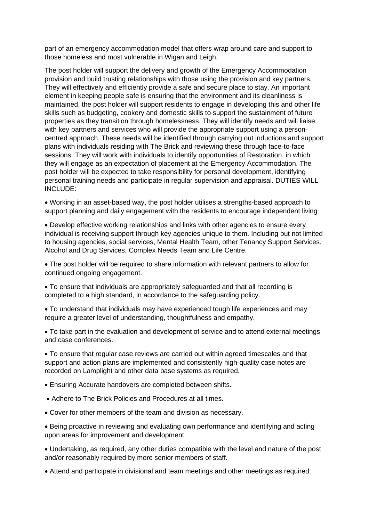part of an emergency accommodation model that offers wrap around care and support to those homeless and most vulnerable in Wigan and Leigh.

The post holder will support the delivery and growth of the Emergency Accommodation provision and build trusting relationships with those using the provision and key partners. They will effectively and efficiently provide a safe and secure place to stay. An important element in keeping people safe is ensuring that the environment and its cleanliness is maintained, the post holder will support residents to engage in developing this and other life skills such as budgeting, cookery and domestic skills to support the sustainment of future properties as they transition through homelessness. They will identify needs and will liaise with key partners and services who will provide the appropriate support using a personcentred approach. These needs will be identified through carrying out inductions and support plans with individuals residing with The Brick and reviewing these through face-to-face sessions. They will work with individuals to identify opportunities of Restoration, in which they will engage as an expectation of placement at the Emergency Accommodation. The post holder will be expected to take responsibility for personal development, identifying personal training needs and participate in regular supervision and appraisal. DUTIES WILL INCLUDE:

• Working in an asset-based way, the post holder utilises a strengths-based approach to support planning and daily engagement with the residents to encourage independent living

• Develop effective working relationships and links with other agencies to ensure every individual is receiving support through key agencies unique to them. Including but not limited to housing agencies, social services, Mental Health Team, other Tenancy Support Services, Alcohol and Drug Services, Complex Needs Team and Life Centre.

• The post holder will be required to share information with relevant partners to allow for continued ongoing engagement.

• To ensure that individuals are appropriately safeguarded and that all recording is completed to a high standard, in accordance to the safeguarding policy.

• To understand that individuals may have experienced tough life experiences and may require a greater level of understanding, thoughtfulness and empathy.

• To take part in the evaluation and development of service and to attend external meetings and case conferences.

• To ensure that regular case reviews are carried out within agreed timescales and that support and action plans are implemented and consistently high-quality case notes are recorded on Lamplight and other data base systems as required.

• Ensuring Accurate handovers are completed between shifts.

- Adhere to The Brick Policies and Procedures at all times.
- Cover for other members of the team and division as necessary.

• Being proactive in reviewing and evaluating own performance and identifying and acting upon areas for improvement and development.

• Undertaking, as required, any other duties compatible with the level and nature of the post and/or reasonably required by more senior members of staff.

• Attend and participate in divisional and team meetings and other meetings as required.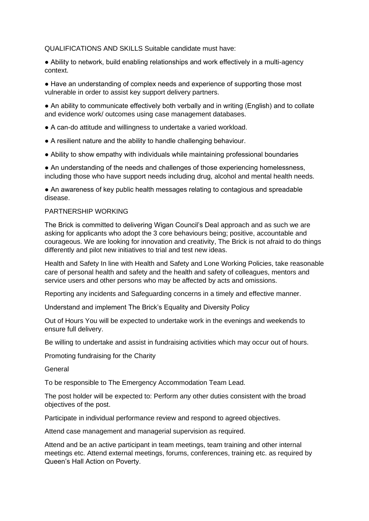QUALIFICATIONS AND SKILLS Suitable candidate must have:

● Ability to network, build enabling relationships and work effectively in a multi-agency context.

• Have an understanding of complex needs and experience of supporting those most vulnerable in order to assist key support delivery partners.

● An ability to communicate effectively both verbally and in writing (English) and to collate and evidence work/ outcomes using case management databases.

• A can-do attitude and willingness to undertake a varied workload.

• A resilient nature and the ability to handle challenging behaviour.

● Ability to show empathy with individuals while maintaining professional boundaries

● An understanding of the needs and challenges of those experiencing homelessness, including those who have support needs including drug, alcohol and mental health needs.

• An awareness of key public health messages relating to contagious and spreadable disease.

#### PARTNERSHIP WORKING

The Brick is committed to delivering Wigan Council's Deal approach and as such we are asking for applicants who adopt the 3 core behaviours being; positive, accountable and courageous. We are looking for innovation and creativity, The Brick is not afraid to do things differently and pilot new initiatives to trial and test new ideas.

Health and Safety In line with Health and Safety and Lone Working Policies, take reasonable care of personal health and safety and the health and safety of colleagues, mentors and service users and other persons who may be affected by acts and omissions.

Reporting any incidents and Safeguarding concerns in a timely and effective manner.

Understand and implement The Brick's Equality and Diversity Policy

Out of Hours You will be expected to undertake work in the evenings and weekends to ensure full delivery.

Be willing to undertake and assist in fundraising activities which may occur out of hours.

Promoting fundraising for the Charity

General

To be responsible to The Emergency Accommodation Team Lead.

The post holder will be expected to: Perform any other duties consistent with the broad objectives of the post.

Participate in individual performance review and respond to agreed objectives.

Attend case management and managerial supervision as required.

Attend and be an active participant in team meetings, team training and other internal meetings etc. Attend external meetings, forums, conferences, training etc. as required by Queen's Hall Action on Poverty.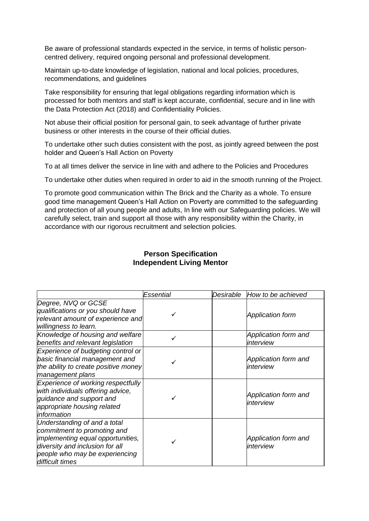Be aware of professional standards expected in the service, in terms of holistic personcentred delivery, required ongoing personal and professional development.

Maintain up-to-date knowledge of legislation, national and local policies, procedures, recommendations, and guidelines

Take responsibility for ensuring that legal obligations regarding information which is processed for both mentors and staff is kept accurate, confidential, secure and in line with the Data Protection Act (2018) and Confidentiality Policies.

Not abuse their official position for personal gain, to seek advantage of further private business or other interests in the course of their official duties.

To undertake other such duties consistent with the post, as jointly agreed between the post holder and Queen's Hall Action on Poverty

To at all times deliver the service in line with and adhere to the Policies and Procedures

To undertake other duties when required in order to aid in the smooth running of the Project.

To promote good communication within The Brick and the Charity as a whole. To ensure good time management Queen's Hall Action on Poverty are committed to the safeguarding and protection of all young people and adults, In line with our Safeguarding policies. We will carefully select, train and support all those with any responsibility within the Charity, in accordance with our rigorous recruitment and selection policies.

|                                                                                                                                                                                          | Essential | Desirable | How to be achieved                |
|------------------------------------------------------------------------------------------------------------------------------------------------------------------------------------------|-----------|-----------|-----------------------------------|
| Degree, NVQ or GCSE<br>qualifications or you should have<br>relevant amount of experience and<br>willingness to learn.                                                                   |           |           | <b>Application form</b>           |
| Knowledge of housing and welfare<br>benefits and relevant legislation                                                                                                                    |           |           | Application form and<br>interview |
| Experience of budgeting control or<br>basic financial management and<br>the ability to create positive money<br>management plans                                                         |           |           | Application form and<br>interview |
| Experience of working respectfully<br>with individuals offering advice,<br>quidance and support and<br>appropriate housing related<br>information                                        |           |           | Application form and<br>interview |
| Understanding of and a total<br>commitment to promoting and<br>implementing equal opportunities,<br>diversity and inclusion for all<br>people who may be experiencing<br>difficult times |           |           | Application form and<br>interview |

## **Person Specification Independent Living Mentor**